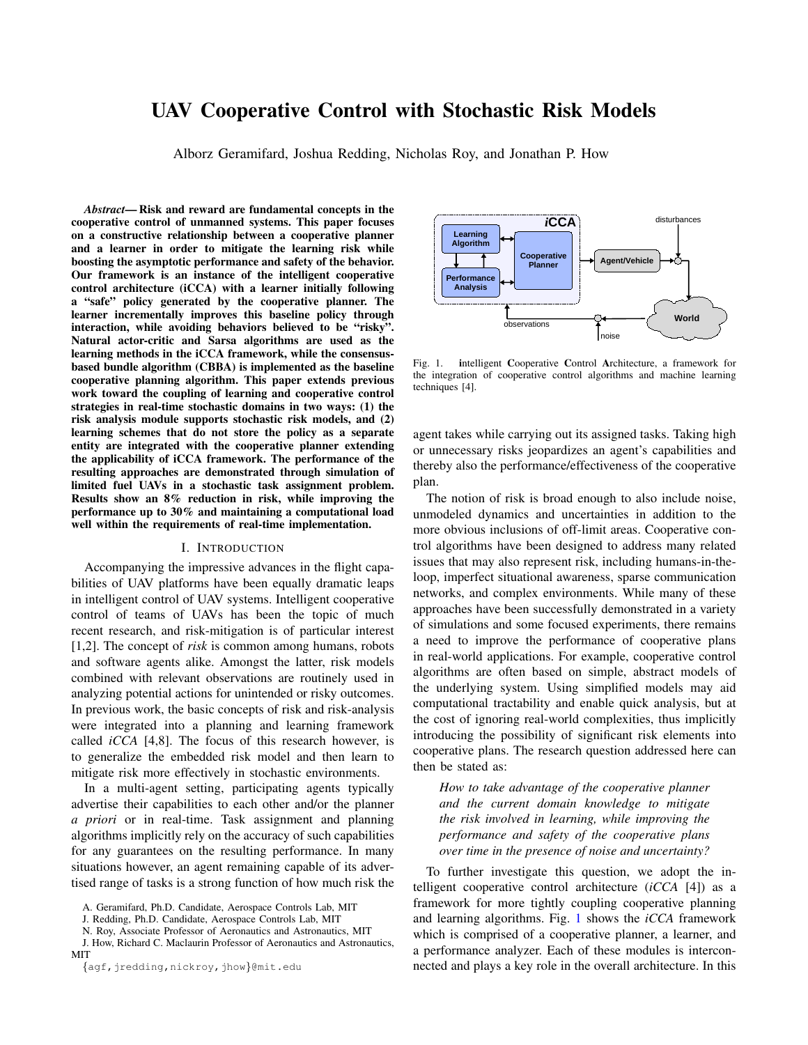# UAV Cooperative Control with Stochastic Risk Models

Alborz Geramifard, Joshua Redding, Nicholas Roy, and Jonathan P. How

*Abstract*— Risk and reward are fundamental concepts in the cooperative control of unmanned systems. This paper focuses on a constructive relationship between a cooperative planner and a learner in order to mitigate the learning risk while boosting the asymptotic performance and safety of the behavior. Our framework is an instance of the intelligent cooperative control architecture (iCCA) with a learner initially following a "safe" policy generated by the cooperative planner. The learner incrementally improves this baseline policy through interaction, while avoiding behaviors believed to be "risky". Natural actor-critic and Sarsa algorithms are used as the learning methods in the iCCA framework, while the consensusbased bundle algorithm (CBBA) is implemented as the baseline cooperative planning algorithm. This paper extends previous work toward the coupling of learning and cooperative control strategies in real-time stochastic domains in two ways: (1) the risk analysis module supports stochastic risk models, and (2) learning schemes that do not store the policy as a separate entity are integrated with the cooperative planner extending the applicability of iCCA framework. The performance of the resulting approaches are demonstrated through simulation of limited fuel UAVs in a stochastic task assignment problem. Results show an 8% reduction in risk, while improving the performance up to 30% and maintaining a computational load well within the requirements of real-time implementation.

#### I. INTRODUCTION

Accompanying the impressive advances in the flight capabilities of UAV platforms have been equally dramatic leaps in intelligent control of UAV systems. Intelligent cooperative control of teams of UAVs has been the topic of much recent research, and risk-mitigation is of particular interest [1,2]. The concept of *risk* is common among humans, robots and software agents alike. Amongst the latter, risk models combined with relevant observations are routinely used in analyzing potential actions for unintended or risky outcomes. In previous work, the basic concepts of risk and risk-analysis were integrated into a planning and learning framework called *iCCA* [4,8]. The focus of this research however, is to generalize the embedded risk model and then learn to mitigate risk more effectively in stochastic environments.

In a multi-agent setting, participating agents typically advertise their capabilities to each other and/or the planner *a priori* or in real-time. Task assignment and planning algorithms implicitly rely on the accuracy of such capabilities for any guarantees on the resulting performance. In many situations however, an agent remaining capable of its advertised range of tasks is a strong function of how much risk the

J. Redding, Ph.D. Candidate, Aerospace Controls Lab, MIT

N. Roy, Associate Professor of Aeronautics and Astronautics, MIT

J. How, Richard C. Maclaurin Professor of Aeronautics and Astronautics, MIT



<span id="page-0-0"></span>Fig. 1. intelligent Cooperative Control Architecture, a framework for the integration of cooperative control algorithms and machine learning techniques [4].

agent takes while carrying out its assigned tasks. Taking high or unnecessary risks jeopardizes an agent's capabilities and thereby also the performance/effectiveness of the cooperative plan.

The notion of risk is broad enough to also include noise, unmodeled dynamics and uncertainties in addition to the more obvious inclusions of off-limit areas. Cooperative control algorithms have been designed to address many related issues that may also represent risk, including humans-in-theloop, imperfect situational awareness, sparse communication networks, and complex environments. While many of these approaches have been successfully demonstrated in a variety of simulations and some focused experiments, there remains a need to improve the performance of cooperative plans in real-world applications. For example, cooperative control algorithms are often based on simple, abstract models of the underlying system. Using simplified models may aid computational tractability and enable quick analysis, but at the cost of ignoring real-world complexities, thus implicitly introducing the possibility of significant risk elements into cooperative plans. The research question addressed here can then be stated as:

*How to take advantage of the cooperative planner and the current domain knowledge to mitigate the risk involved in learning, while improving the performance and safety of the cooperative plans over time in the presence of noise and uncertainty?*

To further investigate this question, we adopt the intelligent cooperative control architecture (*iCCA* [4]) as a framework for more tightly coupling cooperative planning and learning algorithms. Fig. [1](#page-0-0) shows the *iCCA* framework which is comprised of a cooperative planner, a learner, and a performance analyzer. Each of these modules is interconnected and plays a key role in the overall architecture. In this

A. Geramifard, Ph.D. Candidate, Aerospace Controls Lab, MIT

<sup>{</sup>agf,jredding,nickroy,jhow}@mit.edu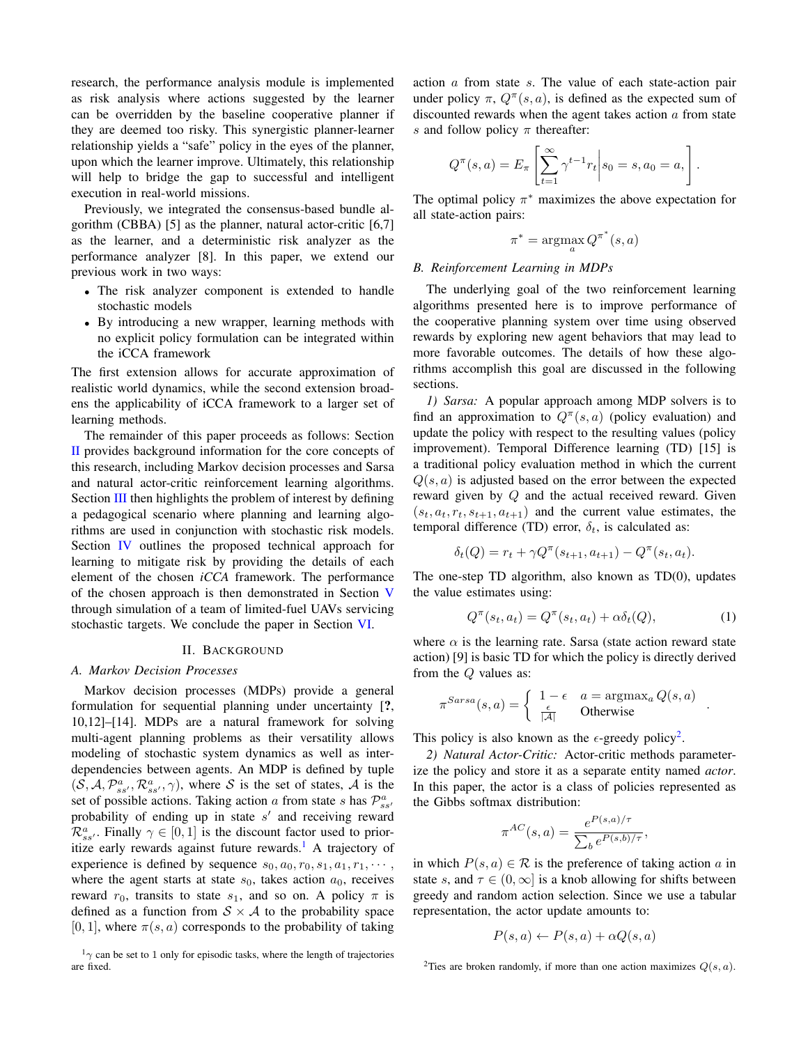research, the performance analysis module is implemented as risk analysis where actions suggested by the learner can be overridden by the baseline cooperative planner if they are deemed too risky. This synergistic planner-learner relationship yields a "safe" policy in the eyes of the planner, upon which the learner improve. Ultimately, this relationship will help to bridge the gap to successful and intelligent execution in real-world missions.

Previously, we integrated the consensus-based bundle algorithm (CBBA) [5] as the planner, natural actor-critic  $[6,7]$ as the learner, and a deterministic risk analyzer as the performance analyzer [8]. In this paper, we extend our previous work in two ways:

- The risk analyzer component is extended to handle stochastic models
- By introducing a new wrapper, learning methods with no explicit policy formulation can be integrated within the iCCA framework

The first extension allows for accurate approximation of realistic world dynamics, while the second extension broadens the applicability of iCCA framework to a larger set of learning methods.

The remainder of this paper proceeds as follows: Section [II](#page-1-0) provides background information for the core concepts of this research, including Markov decision processes and Sarsa and natural actor-critic reinforcement learning algorithms. Section [III](#page-2-0) then highlights the problem of interest by defining a pedagogical scenario where planning and learning algorithms are used in conjunction with stochastic risk models. Section [IV](#page-3-0) outlines the proposed technical approach for learning to mitigate risk by providing the details of each element of the chosen *iCCA* framework. The performance of the chosen approach is then demonstrated in Section [V](#page-5-0) through simulation of a team of limited-fuel UAVs servicing stochastic targets. We conclude the paper in Section [VI.](#page-6-0)

#### II. BACKGROUND

### <span id="page-1-0"></span>*A. Markov Decision Processes*

Markov decision processes (MDPs) provide a general formulation for sequential planning under uncertainty [?, 10,12]–[14]. MDPs are a natural framework for solving multi-agent planning problems as their versatility allows modeling of stochastic system dynamics as well as interdependencies between agents. An MDP is defined by tuple  $(S, A, \mathcal{P}_{ss'}^a, \mathcal{R}_{ss'}^a, \gamma)$ , where S is the set of states, A is the set of possible actions. Taking action a from state s has  $\mathcal{P}^a_{ss'}$ probability of ending up in state  $s'$  and receiving reward  $\mathcal{R}_{ss'}^a$ . Finally  $\gamma \in [0,1]$  is the discount factor used to prior-itize early rewards against future rewards.<sup>[1](#page-1-1)</sup> A trajectory of experience is defined by sequence  $s_0, a_0, r_0, s_1, a_1, r_1, \cdots$ , where the agent starts at state  $s_0$ , takes action  $a_0$ , receives reward  $r_0$ , transits to state  $s_1$ , and so on. A policy  $\pi$  is defined as a function from  $S \times A$  to the probability space [0, 1], where  $\pi(s, a)$  corresponds to the probability of taking action a from state s. The value of each state-action pair under policy  $\pi$ ,  $Q^{\pi}(s, a)$ , is defined as the expected sum of discounted rewards when the agent takes action  $a$  from state s and follow policy  $\pi$  thereafter:

$$
Q^{\pi}(s, a) = E_{\pi} \left[ \sum_{t=1}^{\infty} \gamma^{t-1} r_t \middle| s_0 = s, a_0 = a, \right].
$$

The optimal policy  $\pi^*$  maximizes the above expectation for all state-action pairs:

$$
\pi^* = \operatorname*{argmax}_{a} Q^{\pi^*}(s, a)
$$

## *B. Reinforcement Learning in MDPs*

The underlying goal of the two reinforcement learning algorithms presented here is to improve performance of the cooperative planning system over time using observed rewards by exploring new agent behaviors that may lead to more favorable outcomes. The details of how these algorithms accomplish this goal are discussed in the following sections.

*1) Sarsa:* A popular approach among MDP solvers is to find an approximation to  $Q^{\pi}(s, a)$  (policy evaluation) and update the policy with respect to the resulting values (policy improvement). Temporal Difference learning (TD) [15] is a traditional policy evaluation method in which the current  $Q(s, a)$  is adjusted based on the error between the expected reward given by Q and the actual received reward. Given  $(s_t, a_t, r_t, s_{t+1}, a_{t+1})$  and the current value estimates, the temporal difference (TD) error,  $\delta_t$ , is calculated as:

$$
\delta_t(Q) = r_t + \gamma Q^{\pi}(s_{t+1}, a_{t+1}) - Q^{\pi}(s_t, a_t).
$$

The one-step TD algorithm, also known as TD(0), updates the value estimates using:

$$
Q^{\pi}(s_t, a_t) = Q^{\pi}(s_t, a_t) + \alpha \delta_t(Q), \qquad (1)
$$

where  $\alpha$  is the learning rate. Sarsa (state action reward state action) [9] is basic TD for which the policy is directly derived from the Q values as:

$$
\pi^{Sarsa}(s, a) = \begin{cases} 1 - \epsilon & a = \text{argmax}_a Q(s, a) \\ \frac{\epsilon}{|\mathcal{A}|} & \text{Otherwise} \end{cases}.
$$

This policy is also known as the  $\epsilon$ -greedy policy<sup>[2](#page-1-2)</sup>.

*2) Natural Actor-Critic:* Actor-critic methods parameterize the policy and store it as a separate entity named *actor*. In this paper, the actor is a class of policies represented as the Gibbs softmax distribution:

$$
\pi^{AC}(s,a) = \frac{e^{P(s,a)/\tau}}{\sum_b e^{P(s,b)/\tau}},
$$

in which  $P(s, a) \in \mathcal{R}$  is the preference of taking action a in state s, and  $\tau \in (0, \infty]$  is a knob allowing for shifts between greedy and random action selection. Since we use a tabular representation, the actor update amounts to:

$$
P(s, a) \leftarrow P(s, a) + \alpha Q(s, a)
$$

<span id="page-1-1"></span> $1_{\gamma}$  can be set to 1 only for episodic tasks, where the length of trajectories are fixed.

<span id="page-1-2"></span><sup>&</sup>lt;sup>2</sup>Ties are broken randomly, if more than one action maximizes  $Q(s, a)$ .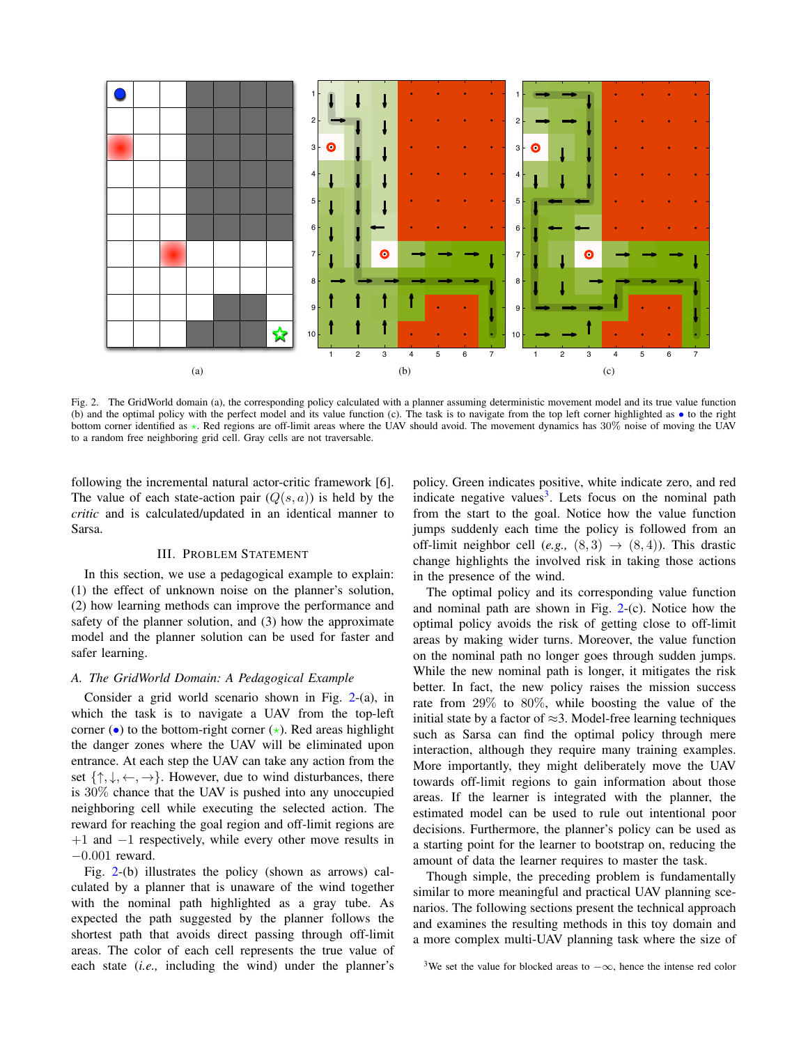

<span id="page-2-1"></span>Fig. 2. The GridWorld domain (a), the corresponding policy calculated with a planner assuming deterministic movement model and its true value function (b) and the optimal policy with the perfect model and its value function (c). The task is to navigate from the top left corner highlighted as • to the right bottom corner identified as  $\star$ . Red regions are off-limit areas where the UAV should avoid. The movement dynamics has 30% noise of moving the UAV to a random free neighboring grid cell. Gray cells are not traversable.

following the incremental natural actor-critic framework [6]. The value of each state-action pair  $(Q(s, a))$  is held by the *critic* and is calculated/updated in an identical manner to Sarsa.

#### III. PROBLEM STATEMENT

<span id="page-2-0"></span>In this section, we use a pedagogical example to explain: (1) the effect of unknown noise on the planner's solution, (2) how learning methods can improve the performance and safety of the planner solution, and (3) how the approximate model and the planner solution can be used for faster and safer learning.

# *A. The GridWorld Domain: A Pedagogical Example*

Consider a grid world scenario shown in Fig. [2-](#page-2-1)(a), in which the task is to navigate a UAV from the top-left corner (•) to the bottom-right corner  $(\star)$ . Red areas highlight the danger zones where the UAV will be eliminated upon entrance. At each step the UAV can take any action from the set  $\{\uparrow, \downarrow, \leftarrow, \rightarrow\}$ . However, due to wind disturbances, there is 30% chance that the UAV is pushed into any unoccupied neighboring cell while executing the selected action. The reward for reaching the goal region and off-limit regions are +1 and −1 respectively, while every other move results in −0.001 reward.

Fig. [2-](#page-2-1)(b) illustrates the policy (shown as arrows) calculated by a planner that is unaware of the wind together with the nominal path highlighted as a gray tube. As expected the path suggested by the planner follows the shortest path that avoids direct passing through off-limit areas. The color of each cell represents the true value of each state (*i.e.,* including the wind) under the planner's policy. Green indicates positive, white indicate zero, and red indicate negative values<sup>[3](#page-2-2)</sup>. Lets focus on the nominal path from the start to the goal. Notice how the value function jumps suddenly each time the policy is followed from an off-limit neighbor cell  $(e.g., (8,3) \rightarrow (8,4))$ . This drastic change highlights the involved risk in taking those actions in the presence of the wind.

The optimal policy and its corresponding value function and nominal path are shown in Fig.  $2-(c)$  $2-(c)$ . Notice how the optimal policy avoids the risk of getting close to off-limit areas by making wider turns. Moreover, the value function on the nominal path no longer goes through sudden jumps. While the new nominal path is longer, it mitigates the risk better. In fact, the new policy raises the mission success rate from 29% to 80%, while boosting the value of the initial state by a factor of  $\approx$ 3. Model-free learning techniques such as Sarsa can find the optimal policy through mere interaction, although they require many training examples. More importantly, they might deliberately move the UAV towards off-limit regions to gain information about those areas. If the learner is integrated with the planner, the estimated model can be used to rule out intentional poor decisions. Furthermore, the planner's policy can be used as a starting point for the learner to bootstrap on, reducing the amount of data the learner requires to master the task.

Though simple, the preceding problem is fundamentally similar to more meaningful and practical UAV planning scenarios. The following sections present the technical approach and examines the resulting methods in this toy domain and a more complex multi-UAV planning task where the size of

<span id="page-2-2"></span><sup>&</sup>lt;sup>3</sup>We set the value for blocked areas to  $-\infty$ , hence the intense red color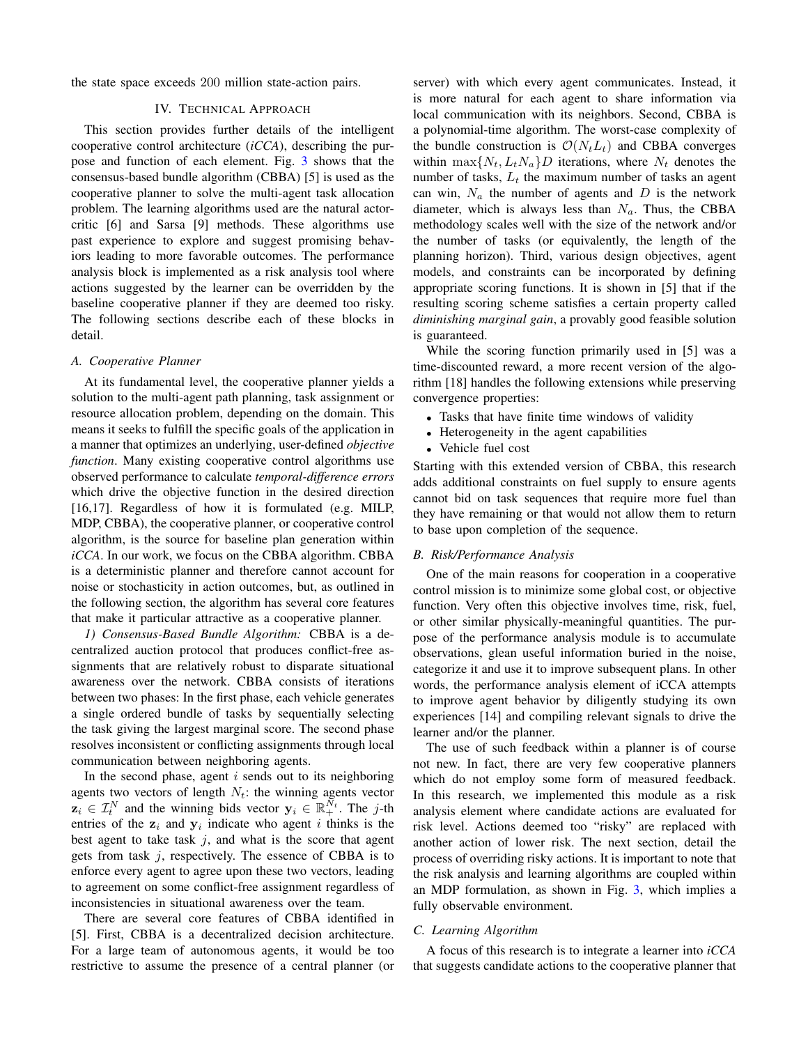<span id="page-3-0"></span>the state space exceeds 200 million state-action pairs.

# IV. TECHNICAL APPROACH

This section provides further details of the intelligent cooperative control architecture (*iCCA*), describing the purpose and function of each element. Fig. [3](#page-4-0) shows that the consensus-based bundle algorithm (CBBA) [5] is used as the cooperative planner to solve the multi-agent task allocation problem. The learning algorithms used are the natural actorcritic [6] and Sarsa [9] methods. These algorithms use past experience to explore and suggest promising behaviors leading to more favorable outcomes. The performance analysis block is implemented as a risk analysis tool where actions suggested by the learner can be overridden by the baseline cooperative planner if they are deemed too risky. The following sections describe each of these blocks in detail.

## *A. Cooperative Planner*

At its fundamental level, the cooperative planner yields a solution to the multi-agent path planning, task assignment or resource allocation problem, depending on the domain. This means it seeks to fulfill the specific goals of the application in a manner that optimizes an underlying, user-defined *objective function*. Many existing cooperative control algorithms use observed performance to calculate *temporal-difference errors* which drive the objective function in the desired direction [16,17]. Regardless of how it is formulated (e.g. MILP, MDP, CBBA), the cooperative planner, or cooperative control algorithm, is the source for baseline plan generation within *iCCA*. In our work, we focus on the CBBA algorithm. CBBA is a deterministic planner and therefore cannot account for noise or stochasticity in action outcomes, but, as outlined in the following section, the algorithm has several core features that make it particular attractive as a cooperative planner.

*1) Consensus-Based Bundle Algorithm:* CBBA is a decentralized auction protocol that produces conflict-free assignments that are relatively robust to disparate situational awareness over the network. CBBA consists of iterations between two phases: In the first phase, each vehicle generates a single ordered bundle of tasks by sequentially selecting the task giving the largest marginal score. The second phase resolves inconsistent or conflicting assignments through local communication between neighboring agents.

In the second phase, agent  $i$  sends out to its neighboring agents two vectors of length  $N_t$ : the winning agents vector  $\mathbf{z}_i \in \mathcal{I}_t^N$  and the winning bids vector  $\mathbf{y}_i \in \mathbb{R}_+^{N_t}$ . The j-th entries of the  $z_i$  and  $y_i$  indicate who agent i thinks is the best agent to take task  $j$ , and what is the score that agent gets from task  $j$ , respectively. The essence of CBBA is to enforce every agent to agree upon these two vectors, leading to agreement on some conflict-free assignment regardless of inconsistencies in situational awareness over the team.

There are several core features of CBBA identified in [5]. First, CBBA is a decentralized decision architecture. For a large team of autonomous agents, it would be too restrictive to assume the presence of a central planner (or server) with which every agent communicates. Instead, it is more natural for each agent to share information via local communication with its neighbors. Second, CBBA is a polynomial-time algorithm. The worst-case complexity of the bundle construction is  $\mathcal{O}(N_tL_t)$  and CBBA converges within  $\max\{N_t, L_tN_a\}$  iterations, where  $N_t$  denotes the number of tasks,  $L_t$  the maximum number of tasks an agent can win,  $N_a$  the number of agents and  $D$  is the network diameter, which is always less than  $N_a$ . Thus, the CBBA methodology scales well with the size of the network and/or the number of tasks (or equivalently, the length of the planning horizon). Third, various design objectives, agent models, and constraints can be incorporated by defining appropriate scoring functions. It is shown in [5] that if the resulting scoring scheme satisfies a certain property called *diminishing marginal gain*, a provably good feasible solution is guaranteed.

While the scoring function primarily used in [5] was a time-discounted reward, a more recent version of the algorithm [18] handles the following extensions while preserving convergence properties:

- Tasks that have finite time windows of validity
- Heterogeneity in the agent capabilities
- Vehicle fuel cost

Starting with this extended version of CBBA, this research adds additional constraints on fuel supply to ensure agents cannot bid on task sequences that require more fuel than they have remaining or that would not allow them to return to base upon completion of the sequence.

#### *B. Risk/Performance Analysis*

One of the main reasons for cooperation in a cooperative control mission is to minimize some global cost, or objective function. Very often this objective involves time, risk, fuel, or other similar physically-meaningful quantities. The purpose of the performance analysis module is to accumulate observations, glean useful information buried in the noise, categorize it and use it to improve subsequent plans. In other words, the performance analysis element of iCCA attempts to improve agent behavior by diligently studying its own experiences [14] and compiling relevant signals to drive the learner and/or the planner.

The use of such feedback within a planner is of course not new. In fact, there are very few cooperative planners which do not employ some form of measured feedback. In this research, we implemented this module as a risk analysis element where candidate actions are evaluated for risk level. Actions deemed too "risky" are replaced with another action of lower risk. The next section, detail the process of overriding risky actions. It is important to note that the risk analysis and learning algorithms are coupled within an MDP formulation, as shown in Fig. [3,](#page-4-0) which implies a fully observable environment.

## *C. Learning Algorithm*

A focus of this research is to integrate a learner into *iCCA* that suggests candidate actions to the cooperative planner that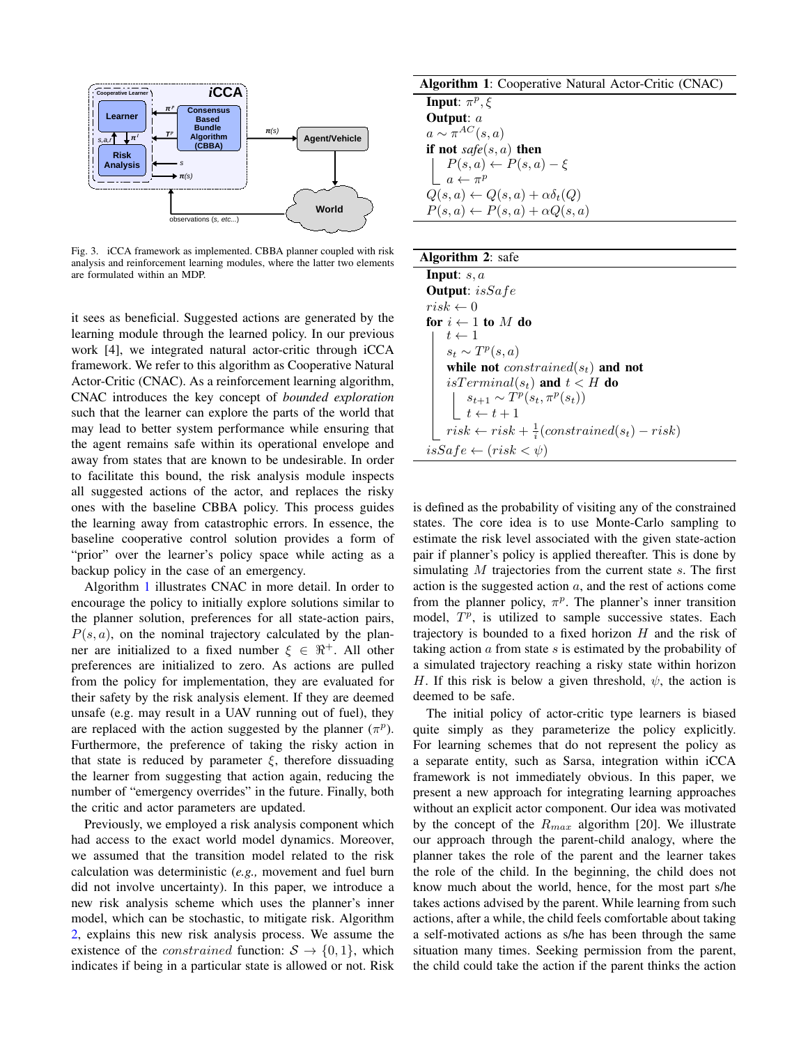

<span id="page-4-0"></span>Fig. 3. iCCA framework as implemented. CBBA planner coupled with risk analysis and reinforcement learning modules, where the latter two elements are formulated within an MDP.

it sees as beneficial. Suggested actions are generated by the learning module through the learned policy. In our previous work [4], we integrated natural actor-critic through iCCA framework. We refer to this algorithm as Cooperative Natural Actor-Critic (CNAC). As a reinforcement learning algorithm, CNAC introduces the key concept of *bounded exploration* such that the learner can explore the parts of the world that may lead to better system performance while ensuring that the agent remains safe within its operational envelope and away from states that are known to be undesirable. In order to facilitate this bound, the risk analysis module inspects all suggested actions of the actor, and replaces the risky ones with the baseline CBBA policy. This process guides the learning away from catastrophic errors. In essence, the baseline cooperative control solution provides a form of "prior" over the learner's policy space while acting as a backup policy in the case of an emergency.

Algorithm [1](#page-4-1) illustrates CNAC in more detail. In order to encourage the policy to initially explore solutions similar to the planner solution, preferences for all state-action pairs,  $P(s, a)$ , on the nominal trajectory calculated by the planner are initialized to a fixed number  $\xi \in \mathbb{R}^+$ . All other preferences are initialized to zero. As actions are pulled from the policy for implementation, they are evaluated for their safety by the risk analysis element. If they are deemed unsafe (e.g. may result in a UAV running out of fuel), they are replaced with the action suggested by the planner  $(\pi^p)$ . Furthermore, the preference of taking the risky action in that state is reduced by parameter  $\xi$ , therefore dissuading the learner from suggesting that action again, reducing the number of "emergency overrides" in the future. Finally, both the critic and actor parameters are updated.

Previously, we employed a risk analysis component which had access to the exact world model dynamics. Moreover, we assumed that the transition model related to the risk calculation was deterministic (*e.g.,* movement and fuel burn did not involve uncertainty). In this paper, we introduce a new risk analysis scheme which uses the planner's inner model, which can be stochastic, to mitigate risk. Algorithm [2,](#page-4-1) explains this new risk analysis process. We assume the existence of the *constrained* function:  $S \rightarrow \{0, 1\}$ , which indicates if being in a particular state is allowed or not. Risk

Algorithm 1: Cooperative Natural Actor-Critic (CNAC) **Input:**  $\pi^p, \xi$ Output: a  $a \sim \pi^{AC}(s, a)$ if not *safe*(s, a) then  $P(s,a) \leftarrow P(s,a) - \xi$  $a \leftarrow \pi^p$  $Q(s, a) \leftarrow Q(s, a) + \alpha \delta_t(Q)$  $P(s, a) \leftarrow P(s, a) + \alpha Q(s, a)$ 

| <b>Algorithm 2: safe</b>                                      |
|---------------------------------------------------------------|
| <b>Input</b> : $s, a$                                         |
| <b>Output:</b> $isSafe$                                       |
| $risk \leftarrow 0$                                           |
| for $i \leftarrow 1$ to M do                                  |
| $t \leftarrow 1$                                              |
| $s_t \sim T^p(s,a)$                                           |
| while not <i>constrained</i> ( $s_t$ ) and not                |
| <i>isTerminal</i> $(s_t)$ and $t < H$ do                      |
| $s_{t+1} \sim T^p(s_t, \pi^p(s_t))$                           |
| $t \leftarrow t+1$                                            |
| $risk \leftarrow risk + \frac{1}{i}(constrained(s_t) - risk)$ |
| $isSafe \leftarrow (risk < \psi)$                             |

is defined as the probability of visiting any of the constrained states. The core idea is to use Monte-Carlo sampling to estimate the risk level associated with the given state-action pair if planner's policy is applied thereafter. This is done by simulating  $M$  trajectories from the current state  $s$ . The first action is the suggested action  $a$ , and the rest of actions come from the planner policy,  $\pi^p$ . The planner's inner transition model,  $T^p$ , is utilized to sample successive states. Each trajectory is bounded to a fixed horizon  $H$  and the risk of taking action  $\alpha$  from state  $s$  is estimated by the probability of a simulated trajectory reaching a risky state within horizon H. If this risk is below a given threshold,  $\psi$ , the action is deemed to be safe.

<span id="page-4-1"></span>The initial policy of actor-critic type learners is biased quite simply as they parameterize the policy explicitly. For learning schemes that do not represent the policy as a separate entity, such as Sarsa, integration within iCCA framework is not immediately obvious. In this paper, we present a new approach for integrating learning approaches without an explicit actor component. Our idea was motivated by the concept of the  $R_{max}$  algorithm [20]. We illustrate our approach through the parent-child analogy, where the planner takes the role of the parent and the learner takes the role of the child. In the beginning, the child does not know much about the world, hence, for the most part s/he takes actions advised by the parent. While learning from such actions, after a while, the child feels comfortable about taking a self-motivated actions as s/he has been through the same situation many times. Seeking permission from the parent, the child could take the action if the parent thinks the action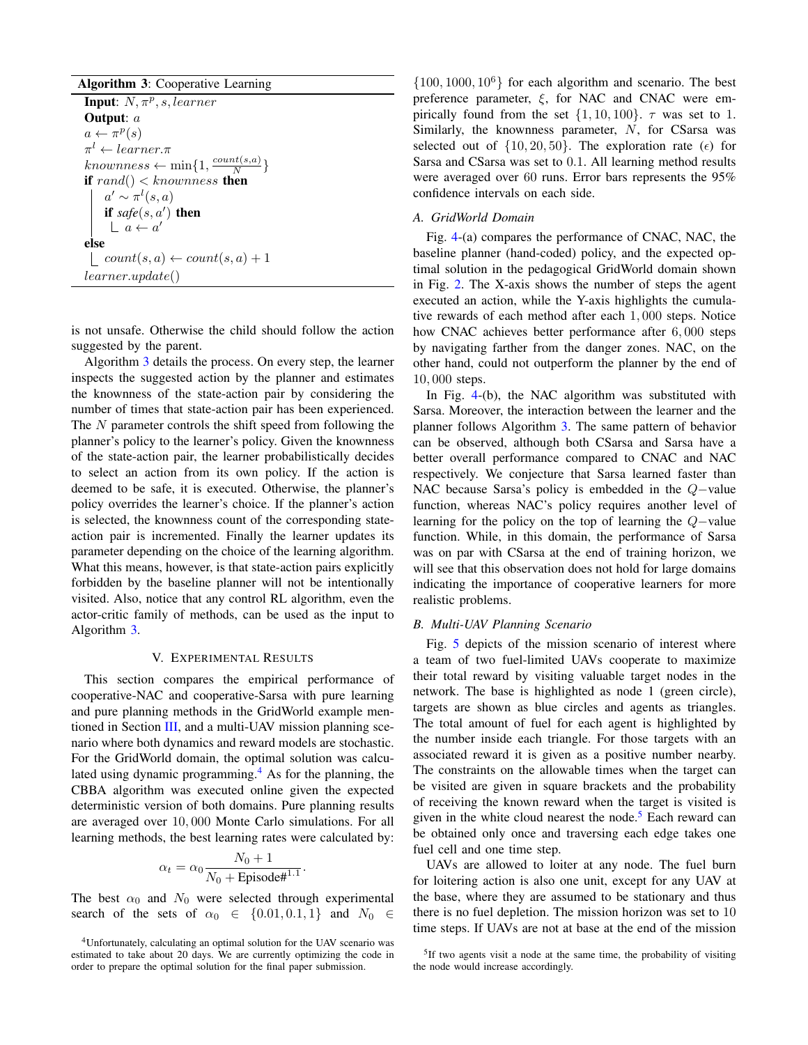Algorithm 3: Cooperative Learning **Input:**  $N, \pi^p, s, learner$ Output: a  $a \leftarrow \pi^p(s)$  $\pi^l \leftarrow learner.\pi$  $knownness \leftarrow \min\{1, \frac{count(s,a)}{N}\}$  $\frac{\partial u(s,a)}{\partial t}\}$ if  $rand() < knownness$  then  $a' \sim \pi^l(s, a)$ if  $\textit{safe}(s, a')$  then  $a \leftarrow a'$ else  $\vert \quad count(s, a) \leftarrow count(s, a) + 1$ learner.update()

is not unsafe. Otherwise the child should follow the action suggested by the parent.

Algorithm [3](#page-5-1) details the process. On every step, the learner inspects the suggested action by the planner and estimates the knownness of the state-action pair by considering the number of times that state-action pair has been experienced. The N parameter controls the shift speed from following the planner's policy to the learner's policy. Given the knownness of the state-action pair, the learner probabilistically decides to select an action from its own policy. If the action is deemed to be safe, it is executed. Otherwise, the planner's policy overrides the learner's choice. If the planner's action is selected, the knownness count of the corresponding stateaction pair is incremented. Finally the learner updates its parameter depending on the choice of the learning algorithm. What this means, however, is that state-action pairs explicitly forbidden by the baseline planner will not be intentionally visited. Also, notice that any control RL algorithm, even the actor-critic family of methods, can be used as the input to Algorithm [3.](#page-5-1)

## V. EXPERIMENTAL RESULTS

<span id="page-5-1"></span><span id="page-5-0"></span>This section compares the empirical performance of cooperative-NAC and cooperative-Sarsa with pure learning and pure planning methods in the GridWorld example mentioned in Section [III,](#page-2-0) and a multi-UAV mission planning scenario where both dynamics and reward models are stochastic. For the GridWorld domain, the optimal solution was calculated using dynamic programming. $4$  As for the planning, the CBBA algorithm was executed online given the expected deterministic version of both domains. Pure planning results are averaged over 10, 000 Monte Carlo simulations. For all learning methods, the best learning rates were calculated by:

$$
\alpha_t = \alpha_0 \frac{N_0 + 1}{N_0 + \text{Episode}^{\#1.1}}
$$

.

The best  $\alpha_0$  and  $N_0$  were selected through experimental search of the sets of  $\alpha_0 \in \{0.01, 0.1, 1\}$  and  $N_0 \in$ 

 $\{100, 1000, 10^6\}$  for each algorithm and scenario. The best preference parameter,  $\xi$ , for NAC and CNAC were empirically found from the set  $\{1, 10, 100\}$ .  $\tau$  was set to 1. Similarly, the knownness parameter, N, for CSarsa was selected out of  $\{10, 20, 50\}$ . The exploration rate ( $\epsilon$ ) for Sarsa and CSarsa was set to 0.1. All learning method results were averaged over 60 runs. Error bars represents the 95% confidence intervals on each side.

## *A. GridWorld Domain*

Fig. [4-](#page-6-1)(a) compares the performance of CNAC, NAC, the baseline planner (hand-coded) policy, and the expected optimal solution in the pedagogical GridWorld domain shown in Fig. [2.](#page-2-1) The X-axis shows the number of steps the agent executed an action, while the Y-axis highlights the cumulative rewards of each method after each 1, 000 steps. Notice how CNAC achieves better performance after 6, 000 steps by navigating farther from the danger zones. NAC, on the other hand, could not outperform the planner by the end of 10, 000 steps.

In Fig. [4-](#page-6-1)(b), the NAC algorithm was substituted with Sarsa. Moreover, the interaction between the learner and the planner follows Algorithm [3.](#page-5-1) The same pattern of behavior can be observed, although both CSarsa and Sarsa have a better overall performance compared to CNAC and NAC respectively. We conjecture that Sarsa learned faster than NAC because Sarsa's policy is embedded in the Q−value function, whereas NAC's policy requires another level of learning for the policy on the top of learning the Q−value function. While, in this domain, the performance of Sarsa was on par with CSarsa at the end of training horizon, we will see that this observation does not hold for large domains indicating the importance of cooperative learners for more realistic problems.

## *B. Multi-UAV Planning Scenario*

Fig. [5](#page-6-2) depicts of the mission scenario of interest where a team of two fuel-limited UAVs cooperate to maximize their total reward by visiting valuable target nodes in the network. The base is highlighted as node 1 (green circle), targets are shown as blue circles and agents as triangles. The total amount of fuel for each agent is highlighted by the number inside each triangle. For those targets with an associated reward it is given as a positive number nearby. The constraints on the allowable times when the target can be visited are given in square brackets and the probability of receiving the known reward when the target is visited is given in the white cloud nearest the node.<sup>[5](#page-5-3)</sup> Each reward can be obtained only once and traversing each edge takes one fuel cell and one time step.

UAVs are allowed to loiter at any node. The fuel burn for loitering action is also one unit, except for any UAV at the base, where they are assumed to be stationary and thus there is no fuel depletion. The mission horizon was set to 10 time steps. If UAVs are not at base at the end of the mission

<span id="page-5-2"></span><sup>4</sup>Unfortunately, calculating an optimal solution for the UAV scenario was estimated to take about 20 days. We are currently optimizing the code in order to prepare the optimal solution for the final paper submission.

<span id="page-5-3"></span><sup>&</sup>lt;sup>5</sup>If two agents visit a node at the same time, the probability of visiting the node would increase accordingly.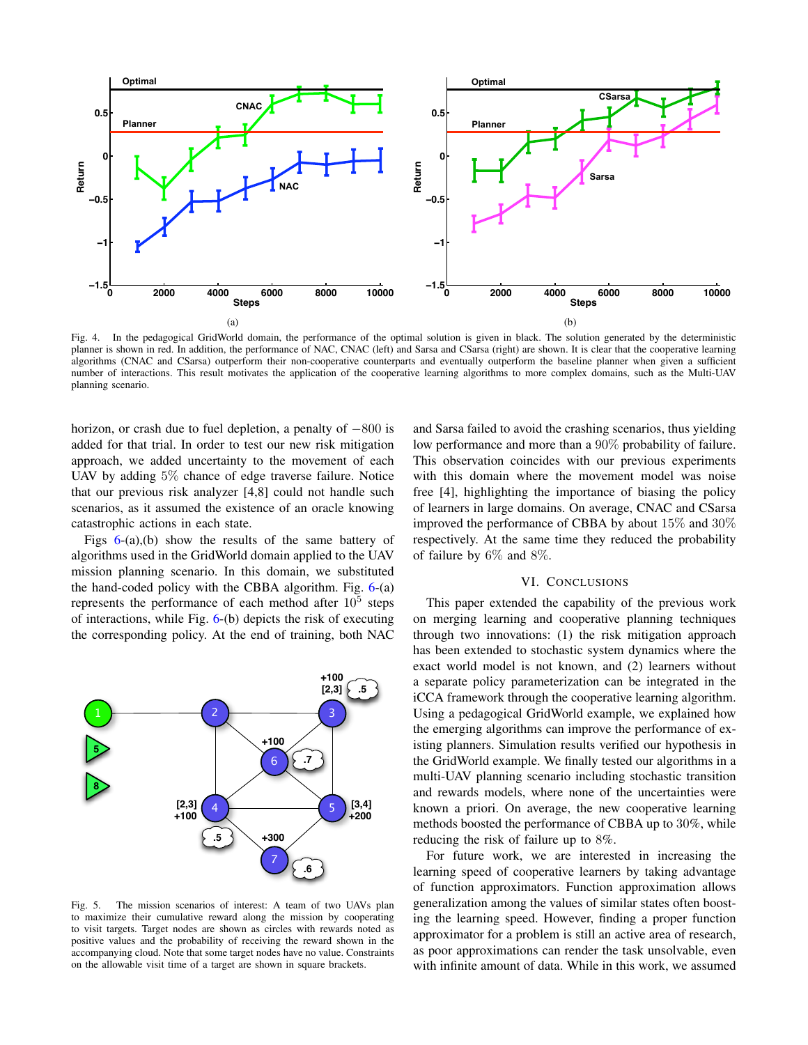

<span id="page-6-1"></span>Fig. 4. In the pedagogical GridWorld domain, the performance of the optimal solution is given in black. The solution generated by the deterministic planner is shown in red. In addition, the performance of NAC, CNAC (left) and Sarsa and CSarsa (right) are shown. It is clear that the cooperative learning algorithms (CNAC and CSarsa) outperform their non-cooperative counterparts and eventually outperform the baseline planner when given a sufficient number of interactions. This result motivates the application of the cooperative learning algorithms to more complex domains, such as the Multi-UAV planning scenario.

horizon, or crash due to fuel depletion, a penalty of −800 is added for that trial. In order to test our new risk mitigation approach, we added uncertainty to the movement of each UAV by adding 5% chance of edge traverse failure. Notice that our previous risk analyzer [4,8] could not handle such scenarios, as it assumed the existence of an oracle knowing catastrophic actions in each state.

Figs  $6-(a)$  $6-(a)$ , (b) show the results of the same battery of algorithms used in the GridWorld domain applied to the UAV mission planning scenario. In this domain, we substituted the hand-coded policy with the CBBA algorithm. Fig. [6-](#page-7-0)(a) represents the performance of each method after  $10^5$  steps of interactions, while Fig. [6-](#page-7-0)(b) depicts the risk of executing the corresponding policy. At the end of training, both NAC



<span id="page-6-2"></span>Fig. 5. The mission scenarios of interest: A team of two UAVs plan to maximize their cumulative reward along the mission by cooperating to visit targets. Target nodes are shown as circles with rewards noted as positive values and the probability of receiving the reward shown in the accompanying cloud. Note that some target nodes have no value. Constraints on the allowable visit time of a target are shown in square brackets.

and Sarsa failed to avoid the crashing scenarios, thus yielding low performance and more than a 90% probability of failure. This observation coincides with our previous experiments with this domain where the movement model was noise free [4], highlighting the importance of biasing the policy of learners in large domains. On average, CNAC and CSarsa improved the performance of CBBA by about 15% and 30% respectively. At the same time they reduced the probability of failure by 6% and 8%.

## VI. CONCLUSIONS

<span id="page-6-0"></span>This paper extended the capability of the previous work on merging learning and cooperative planning techniques through two innovations: (1) the risk mitigation approach has been extended to stochastic system dynamics where the exact world model is not known, and (2) learners without a separate policy parameterization can be integrated in the iCCA framework through the cooperative learning algorithm. Using a pedagogical GridWorld example, we explained how the emerging algorithms can improve the performance of existing planners. Simulation results verified our hypothesis in the GridWorld example. We finally tested our algorithms in a multi-UAV planning scenario including stochastic transition and rewards models, where none of the uncertainties were known a priori. On average, the new cooperative learning methods boosted the performance of CBBA up to 30%, while reducing the risk of failure up to 8%.

For future work, we are interested in increasing the learning speed of cooperative learners by taking advantage of function approximators. Function approximation allows generalization among the values of similar states often boosting the learning speed. However, finding a proper function approximator for a problem is still an active area of research, as poor approximations can render the task unsolvable, even with infinite amount of data. While in this work, we assumed